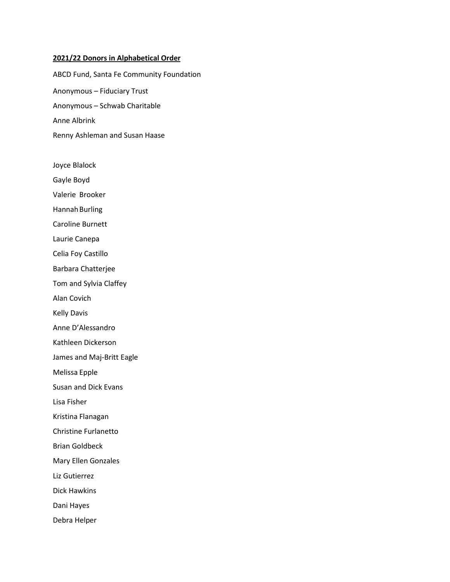#### **2021/22 Donors in Alphabetical Order**

ABCD Fund, Santa Fe Community Foundation Anonymous – Fiduciary Trust Anonymous – Schwab Charitable Anne Albrink Renny Ashleman and Susan Haase

- Joyce Blalock
- Gayle Boyd
- Valerie Brooker
- Hannah Burling
- Caroline Burnett
- Laurie Canepa
- Celia Foy Castillo
- Barbara Chatterjee
- Tom and Sylvia Claffey
- Alan Covich
- Kelly Davis
- Anne D'Alessandro
- Kathleen Dickerson
- James and Maj-Britt Eagle
- Melissa Epple
- Susan and Dick Evans
- Lisa Fisher
- Kristina Flanagan
- Christine Furlanetto
- Brian Goldbeck
- Mary Ellen Gonzales
- Liz Gutierrez
- Dick Hawkins
- Dani Hayes
- Debra Helper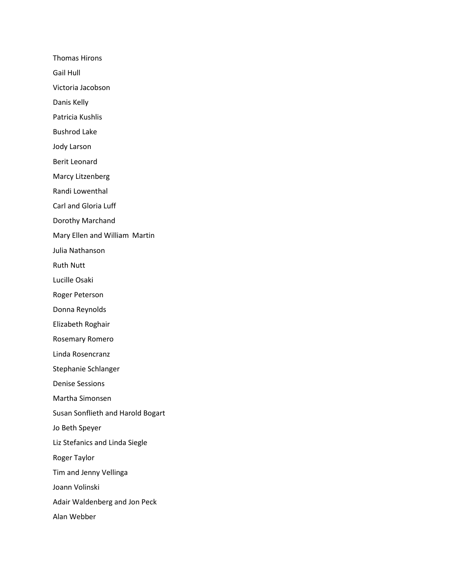Thomas Hirons

Gail Hull

Victoria Jacobson

Danis Kelly

Patricia Kushlis

Bushrod Lake

Jody Larson

Berit Leonard

Marcy Litzenberg

Randi Lowenthal

Carl and Gloria Luff

Dorothy Marchand

Mary Ellen and William Martin

Julia Nathanson

Ruth Nutt

Lucille Osaki

Roger Peterson

Donna Reynolds

Elizabeth Roghair

Rosemary Romero

Linda Rosencranz

Stephanie Schlanger

Denise Sessions

Martha Simonsen

Susan Sonflieth and Harold Bogart

Jo Beth Speyer

Liz Stefanics and Linda Siegle

Roger Taylor

Tim and Jenny Vellinga

Joann Volinski

Adair Waldenberg and Jon Peck

Alan Webber